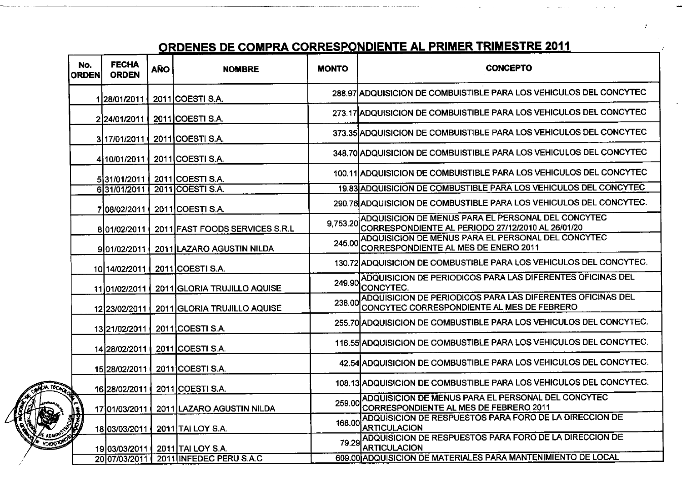## <u> ORDENES DE COMPRA CORRESPONDIENTE AL PRIMER TRIMESTRE 2011</u>

| No.<br><b>ORDEN</b> | <b>FECHA</b><br><b>ORDEN</b> | <b>AÑO</b> | <b>NOMBRE</b>                         | <b>MONTO</b>  | <b>CONCEPTO</b>                                                                                          |
|---------------------|------------------------------|------------|---------------------------------------|---------------|----------------------------------------------------------------------------------------------------------|
|                     | 128/01/2011                  |            | 2011 COESTI S.A.                      |               | 288.97 ADQUISICION DE COMBUISTIBLE PARA LOS VEHICULOS DEL CONCYTEC                                       |
|                     | 224/01/2011                  |            | 2011 COESTI S.A.                      |               | 273.17 ADQUISICION DE COMBUISTIBLE PARA LOS VEHICULOS DEL CONCYTEC                                       |
|                     | 3117/01/2011 1               |            | 2011 COESTI S.A.                      |               | 373.35 ADQUISICION DE COMBUISTIBLE PARA LOS VEHICULOS DEL CONCYTEC                                       |
|                     | 4110/01/2011                 |            | 2011 COESTI S.A.                      |               | 348.70 ADQUISICION DE COMBUISTIBLE PARA LOS VEHICULOS DEL CONCYTEC                                       |
|                     | 531/01/2011                  |            | 2011 COESTI S.A.                      |               | 100.11 ADQUISICION DE COMBUISTIBLE PARA LOS VEHICULOS DEL CONCYTEC                                       |
|                     | 631/01/2011                  |            | 2011 COESTI S.A.                      |               | 19.83 ADQUISICION DE COMBUSTIBLE PARA LOS VEHICULOS DEL CONCYTEC                                         |
|                     | 708/02/2011                  |            | 2011 COESTI S.A.                      |               | 290.76 ADQUISICION DE COMBUSTIBLE PARA LOS VEHICULOS DEL CONCYTEC.                                       |
|                     | 801/02/2011                  |            | 2011 FAST FOODS SERVICES S.R.L        | 9,753.20      | ADQUISICION DE MENUS PARA EL PERSONAL DEL CONCYTEC<br>CORRESPONDIENTE AL PERIODO 27/12/2010 AL 26/01/20  |
|                     | 9101/02/2011 (               |            | 2011 LAZARO AGUSTIN NILDA             | 245.00        | ADQUISICION DE MENUS PARA EL PERSONAL DEL CONCYTEC<br>CORRESPONDIENTE AL MES DE ENERO 2011               |
|                     | 1014/02/2011                 |            | 2011 COESTI S.A.                      |               | 130.72 ADQUISICION DE COMBUSTIBLE PARA LOS VEHICULOS DEL CONCYTEC.                                       |
|                     | 11 01/02/2011                |            | 2011 GLORIA TRUJILLO AQUISE           | 249.90        | ADQUISICION DE PERIODICOS PARA LAS DIFERENTES OFICINAS DEL<br>CONCYTEC.                                  |
|                     | 12 23/02/2011                |            | 2011 GLORIA TRUJILLO AQUISE           | 238.00        | ADQUISICION DE PERIODICOS PARA LAS DIFERENTES OFICINAS DEL<br>CONCYTEC CORRESPONDIENTE AL MES DE FEBRERO |
|                     | 13 21/02/2011                |            | 2011 COESTI S.A.                      |               | 255.70 ADQUISICION DE COMBUSTIBLE PARA LOS VEHICULOS DEL CONCYTEC.                                       |
|                     | 14 28/02/2011                |            | 2011 COESTI S.A.                      |               | 116.55 ADQUISICION DE COMBUSTIBLE PARA LOS VEHICULOS DEL CONCYTEC.                                       |
|                     | 15 28/02/2011                |            | 2011 COESTI S.A.                      |               | 42.54 ADQUISICION DE COMBUSTIBLE PARA LOS VEHICULOS DEL CONCYTEC.                                        |
| <b>CACKOP</b>       | 16 28/02/2011                |            | 2011 COESTI S.A.                      |               | 108.13 ADQUISICION DE COMBUSTIBLE PARA LOS VEHICULOS DEL CONCYTEC.                                       |
|                     | 17 01/03/2011                |            | 2011 LAZARO AGUSTIN NILDA             | <b>259.00</b> | ADQUISICION DE MENUS PARA EL PERSONAL DEL CONCYTEC<br>CORRESPONDIENTE AL MES DE FEBRERO 2011             |
|                     | 1803/03/2011                 |            | 2011 TAI LOY S.A.                     | 168.00        | ADQUISICION DE RESPUESTOS PARA FORO DE LA DIRECCION DE<br><b>ARTICULACION</b>                            |
|                     | 19 03/03/2011                |            | 2011 TAI LOY S.A.                     | 79 29         | ADQUISICION DE RESPUESTOS PARA FORO DE LA DIRECCION DE<br><b>ARTICULACION</b>                            |
|                     |                              |            | 20 07/03/2011 2011 INFEDEC PERU S.A.C |               | 609.00 ADQUISICION DE MATERIALES PARA MANTENIMIENTO DE LOCAL                                             |

**YOO**